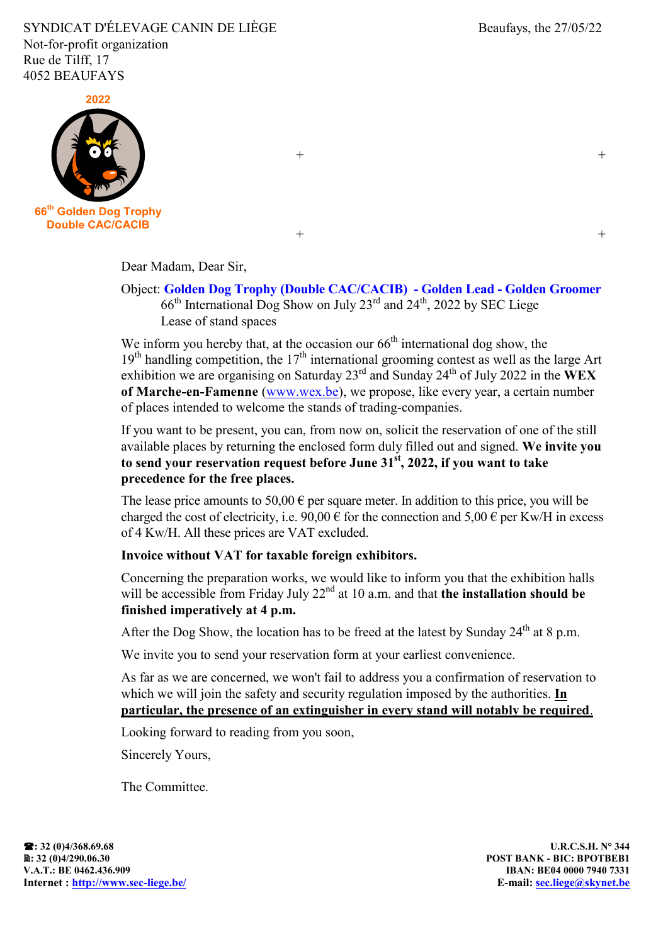SYNDICAT D'ÉLEVAGE CANIN DE LIÈGE Beaufays, the 27/05/22 Not-for-profit organization Rue de Tilff, 17 4052 BEAUFAYS



 $+$  +

 $+$  +

Dear Madam, Dear Sir,

## Object: **Golden Dog Trophy (Double CAC/CACIB) - Golden Lead - Golden Groomer**  $66<sup>th</sup>$  International Dog Show on July 23<sup>rd</sup> and 24<sup>th</sup>, 2022 by SEC Liege Lease of stand spaces

We inform you hereby that, at the occasion our  $66<sup>th</sup>$  international dog show, the  $19<sup>th</sup>$  handling competition, the  $17<sup>th</sup>$  international grooming contest as well as the large Art exhibition we are organising on Saturday 23<sup>rd</sup> and Sunday 24<sup>th</sup> of July 2022 in the WEX **of Marche-en-Famenne** [\(www.wex.be\)](http://www.wex.be/), we propose, like every year, a certain number of places intended to welcome the stands of trading-companies.

If you want to be present, you can, from now on, solicit the reservation of one of the still available places by returning the enclosed form duly filled out and signed. **We invite you to send your reservation request before June 31 st , 2022, if you want to take precedence for the free places.**

The lease price amounts to 50,00  $\epsilon$  per square meter. In addition to this price, you will be charged the cost of electricity, i.e.  $90,00 \in$  for the connection and  $5,00 \in$  per Kw/H in excess of 4 Kw/H. All these prices are VAT excluded.

## **Invoice without VAT for taxable foreign exhibitors.**

Concerning the preparation works, we would like to inform you that the exhibition halls will be accessible from Friday July 22<sup>nd</sup> at 10 a.m. and that **the installation should be finished imperatively at 4 p.m.**

After the Dog Show, the location has to be freed at the latest by Sunday  $24^{\text{th}}$  at 8 p.m.

We invite you to send your reservation form at your earliest convenience.

As far as we are concerned, we won't fail to address you a confirmation of reservation to which we will join the safety and security regulation imposed by the authorities. **In particular, the presence of an extinguisher in every stand will notably be required**.

Looking forward to reading from you soon,

Sincerely Yours,

The Committee.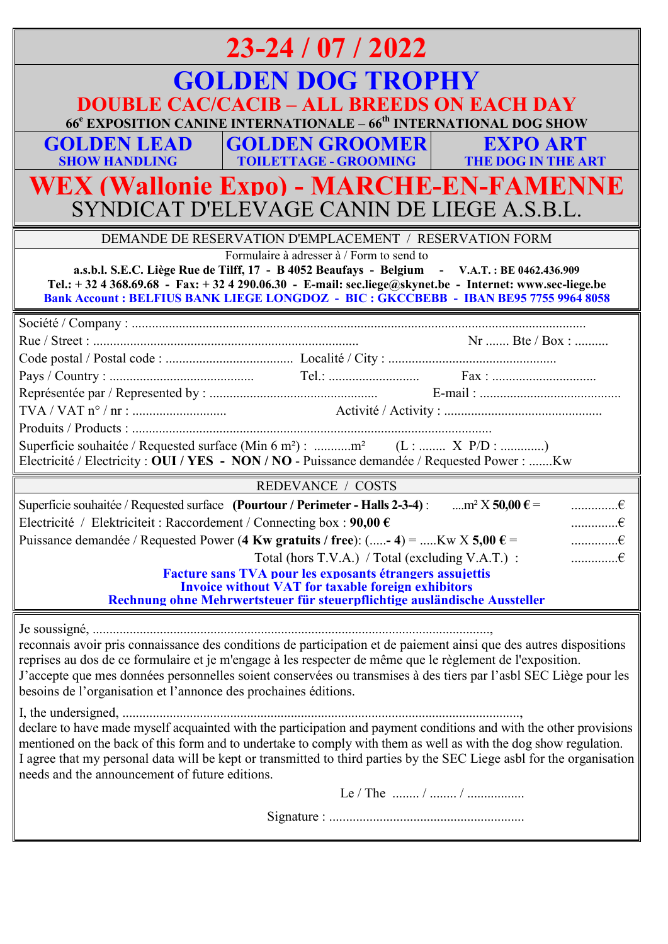| $23 - 24 / 07 / 2022$                                                                                                                                                                                                                                                                                                                                                                                                  |
|------------------------------------------------------------------------------------------------------------------------------------------------------------------------------------------------------------------------------------------------------------------------------------------------------------------------------------------------------------------------------------------------------------------------|
| <b>GOLDEN DOG TROPHY</b><br><b>DOUBLE CAC/CACIB - ALL BREEDS ON EACH DAY</b>                                                                                                                                                                                                                                                                                                                                           |
| 66 <sup>e</sup> EXPOSITION CANINE INTERNATIONALE – 66 <sup>th</sup> INTERNATIONAL DOG SHOW                                                                                                                                                                                                                                                                                                                             |
| <b>GOLDEN GROOMER EXPO ART</b><br><b>GOLDEN LEAD</b><br><b>TOILETTAGE - GROOMING   THE DOG IN THE ART</b><br><b>SHOW HANDLING</b>                                                                                                                                                                                                                                                                                      |
| <b>WEX (Wallonie Expo) - MARCHE-EN-FAMENNE</b><br>SYNDICAT D'ELEVAGE CANIN DE LIEGE A.S.B.L.                                                                                                                                                                                                                                                                                                                           |
| DEMANDE DE RESERVATION D'EMPLACEMENT / RESERVATION FORM                                                                                                                                                                                                                                                                                                                                                                |
| Formulaire à adresser à / Form to send to<br>a.s.b.l. S.E.C. Liège Rue de Tilff, 17 - B 4052 Beaufays - Belgium - V.A.T.: BE 0462.436.909<br>Tel.: +32 4 368.69.68 - Fax: +32 4 290.06.30 - E-mail: sec.liege@skynet.be - Internet: www.sec-liege.be<br><b>Bank Account: BELFIUS BANK LIEGE LONGDOZ - BIC: GKCCBEBB - IBAN BE95 7755 9964 8058</b>                                                                     |
|                                                                                                                                                                                                                                                                                                                                                                                                                        |
|                                                                                                                                                                                                                                                                                                                                                                                                                        |
|                                                                                                                                                                                                                                                                                                                                                                                                                        |
|                                                                                                                                                                                                                                                                                                                                                                                                                        |
|                                                                                                                                                                                                                                                                                                                                                                                                                        |
|                                                                                                                                                                                                                                                                                                                                                                                                                        |
|                                                                                                                                                                                                                                                                                                                                                                                                                        |
| Superficie souhaitée / Requested surface (Min 6 m <sup>2</sup> ) : m <sup>2</sup> (L :  X P/D : )<br>Electricité / Electricity : OUI / YES - NON / NO - Puissance demandée / Requested Power : Kw                                                                                                                                                                                                                      |
| <b>REDEVANCE / COSTS</b>                                                                                                                                                                                                                                                                                                                                                                                               |
| Superficie souhaitée / Requested surface (Pourtour / Perimeter - Halls 2-3-4) :<br>$$ m <sup>2</sup> X <b>50,00</b> $\epsilon$ =<br>$\dots \dots \dots \dots \in$                                                                                                                                                                                                                                                      |
| Electricité / Elektriciteit: Raccordement / Connecting box: $90.00 \in$                                                                                                                                                                                                                                                                                                                                                |
| Puissance demandée / Requested Power (4 Kw gratuits / free): $(-4) =$ Kw X 5,00 $\epsilon$ =<br>$\dots \dots \dots \in$                                                                                                                                                                                                                                                                                                |
| $\dots \dots \dots \in$<br>Total (hors T.V.A.) / Total (excluding V.A.T.) :                                                                                                                                                                                                                                                                                                                                            |
| Facture sans TVA pour les exposants étrangers assujettis<br><b>Invoice without VAT for taxable foreign exhibitors</b><br>Rechnung ohne Mehrwertsteuer für steuerpflichtige ausländische Aussteller                                                                                                                                                                                                                     |
|                                                                                                                                                                                                                                                                                                                                                                                                                        |
| reconnais avoir pris connaissance des conditions de participation et de paiement ainsi que des autres dispositions<br>reprises au dos de ce formulaire et je m'engage à les respecter de même que le règlement de l'exposition.<br>J'accepte que mes données personnelles soient conservées ou transmises à des tiers par l'asbl SEC Liège pour les<br>besoins de l'organisation et l'annonce des prochaines éditions. |
| declare to have made myself acquainted with the participation and payment conditions and with the other provisions<br>mentioned on the back of this form and to undertake to comply with them as well as with the dog show regulation.<br>I agree that my personal data will be kept or transmitted to third parties by the SEC Liege asbl for the organisation<br>needs and the announcement of future editions.      |
|                                                                                                                                                                                                                                                                                                                                                                                                                        |
|                                                                                                                                                                                                                                                                                                                                                                                                                        |
|                                                                                                                                                                                                                                                                                                                                                                                                                        |